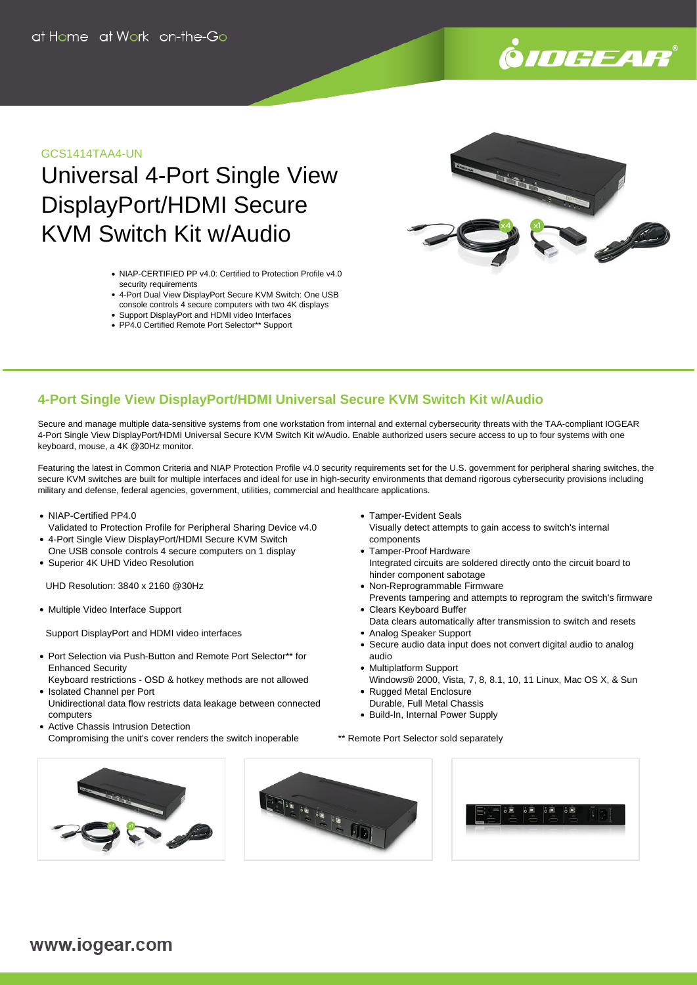# .<br>9*10GEAR*

## GCS1414TAA4-UN

# Universal 4-Port Single View DisplayPort/HDMI Secure KVM Switch Kit w/Audio

- NIAP-CERTIFIED PP v4.0: Certified to Protection Profile v4.0 security requirements
- 4-Port Dual View DisplayPort Secure KVM Switch: One USB console controls 4 secure computers with two 4K displays
- Support DisplayPort and HDMI video Interfaces
- PP4.0 Certified Remote Port Selector\*\* Support



# **4-Port Single View DisplayPort/HDMI Universal Secure KVM Switch Kit w/Audio**

Secure and manage multiple data-sensitive systems from one workstation from internal and external cybersecurity threats with the TAA-compliant IOGEAR 4-Port Single View DisplayPort/HDMI Universal Secure KVM Switch Kit w/Audio. Enable authorized users secure access to up to four systems with one keyboard, mouse, a 4K @30Hz monitor.

Featuring the latest in Common Criteria and NIAP Protection Profile v4.0 security requirements set for the U.S. government for peripheral sharing switches, the secure KVM switches are built for multiple interfaces and ideal for use in high-security environments that demand rigorous cybersecurity provisions including military and defense, federal agencies, government, utilities, commercial and healthcare applications.

- NIAP-Certified PP4.0
- Validated to Protection Profile for Peripheral Sharing Device v4.0 4-Port Single View DisplayPort/HDMI Secure KVM Switch
- One USB console controls 4 secure computers on 1 display
- Superior 4K UHD Video Resolution

UHD Resolution: 3840 x 2160 @30Hz

• Multiple Video Interface Support

Support DisplayPort and HDMI video interfaces

- Port Selection via Push-Button and Remote Port Selector\*\* for Enhanced Security
- Keyboard restrictions OSD & hotkey methods are not allowed • Isolated Channel per Port
- Unidirectional data flow restricts data leakage between connected computers
- Active Chassis Intrusion Detection Compromising the unit's cover renders the switch inoperable
- Tamper-Evident Seals
- Visually detect attempts to gain access to switch's internal components Tamper-Proof Hardware
- Integrated circuits are soldered directly onto the circuit board to hinder component sabotage
- Non-Reprogrammable Firmware
- Prevents tampering and attempts to reprogram the switch's firmware Clears Keyboard Buffer
- Data clears automatically after transmission to switch and resets Analog Speaker Support
- Secure audio data input does not convert digital audio to analog audio
- Multiplatform Support
- Windows® 2000, Vista, 7, 8, 8.1, 10, 11 Linux, Mac OS X, & Sun • Rugged Metal Enclosure
- Durable, Full Metal Chassis
- Build-In, Internal Power Supply

\*\* Remote Port Selector sold separately





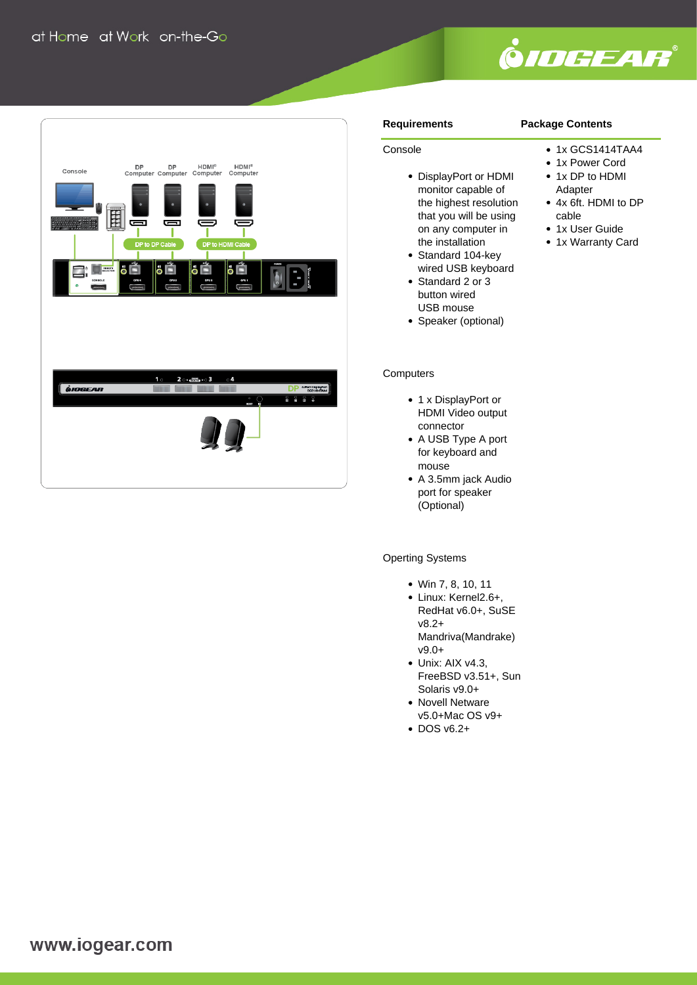

• 1x GCS1414TAA4 • 1x Power Cord 1x DP to HDMI Adapter

4x 6ft. HDMI to DP



#### **Requirements**

## **Package Contents**

cable • 1x User Guide • 1x Warranty Card

# Console

- DisplayPort or HDMI monitor capable of the highest resolution that you will be using on any computer in the installation
- Standard 104-key wired USB keyboard
- Standard 2 or 3 button wired USB mouse
- Speaker (optional)

#### **Computers**

- 1 x DisplayPort or HDMI Video output connector
- A USB Type A port for keyboard and mouse
- A 3.5mm jack Audio port for speaker (Optional)

## Operting Systems

- Win 7, 8, 10, 11
- Linux: Kernel2.6+, RedHat v6.0+, SuSE v8.2+ Mandriva(Mandrake) v9.0+
- Unix: AIX v4.3. FreeBSD v3.51+, Sun Solaris v9.0+
- Novell Netware v5.0+Mac OS v9+
- $\cdot$  DOS v6.2+

# www.iogear.com